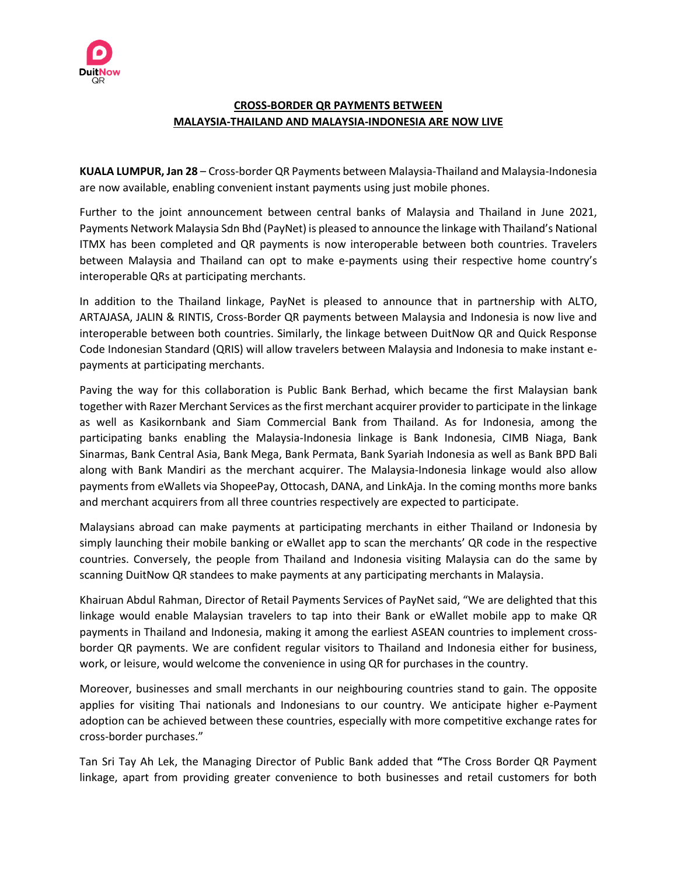

# **CROSS-BORDER QR PAYMENTS BETWEEN MALAYSIA-THAILAND AND MALAYSIA-INDONESIA ARE NOW LIVE**

**KUALA LUMPUR, Jan 28** – Cross-border QR Payments between Malaysia-Thailand and Malaysia-Indonesia are now available, enabling convenient instant payments using just mobile phones.

Further to the joint announcement between central banks of Malaysia and Thailand in June 2021, Payments Network Malaysia Sdn Bhd (PayNet) is pleased to announce the linkage with Thailand's National ITMX has been completed and QR payments is now interoperable between both countries. Travelers between Malaysia and Thailand can opt to make e-payments using their respective home country's interoperable QRs at participating merchants.

In addition to the Thailand linkage, PayNet is pleased to announce that in partnership with ALTO, ARTAJASA, JALIN & RINTIS, Cross-Border QR payments between Malaysia and Indonesia is now live and interoperable between both countries. Similarly, the linkage between DuitNow QR and Quick Response Code Indonesian Standard (QRIS) will allow travelers between Malaysia and Indonesia to make instant epayments at participating merchants.

Paving the way for this collaboration is Public Bank Berhad, which became the first Malaysian bank together with Razer Merchant Services as the first merchant acquirer provider to participate in the linkage as well as Kasikornbank and Siam Commercial Bank from Thailand. As for Indonesia, among the participating banks enabling the Malaysia-Indonesia linkage is Bank Indonesia, CIMB Niaga, Bank Sinarmas, Bank Central Asia, Bank Mega, Bank Permata, Bank Syariah Indonesia as well as Bank BPD Bali along with Bank Mandiri as the merchant acquirer. The Malaysia-Indonesia linkage would also allow payments from eWallets via ShopeePay, Ottocash, DANA, and LinkAja. In the coming months more banks and merchant acquirers from all three countries respectively are expected to participate.

Malaysians abroad can make payments at participating merchants in either Thailand or Indonesia by simply launching their mobile banking or eWallet app to scan the merchants' QR code in the respective countries. Conversely, the people from Thailand and Indonesia visiting Malaysia can do the same by scanning DuitNow QR standees to make payments at any participating merchants in Malaysia.

Khairuan Abdul Rahman, Director of Retail Payments Services of PayNet said, "We are delighted that this linkage would enable Malaysian travelers to tap into their Bank or eWallet mobile app to make QR payments in Thailand and Indonesia, making it among the earliest ASEAN countries to implement crossborder QR payments. We are confident regular visitors to Thailand and Indonesia either for business, work, or leisure, would welcome the convenience in using QR for purchases in the country.

Moreover, businesses and small merchants in our neighbouring countries stand to gain. The opposite applies for visiting Thai nationals and Indonesians to our country. We anticipate higher e-Payment adoption can be achieved between these countries, especially with more competitive exchange rates for cross-border purchases."

Tan Sri Tay Ah Lek, the Managing Director of Public Bank added that **"**The Cross Border QR Payment linkage, apart from providing greater convenience to both businesses and retail customers for both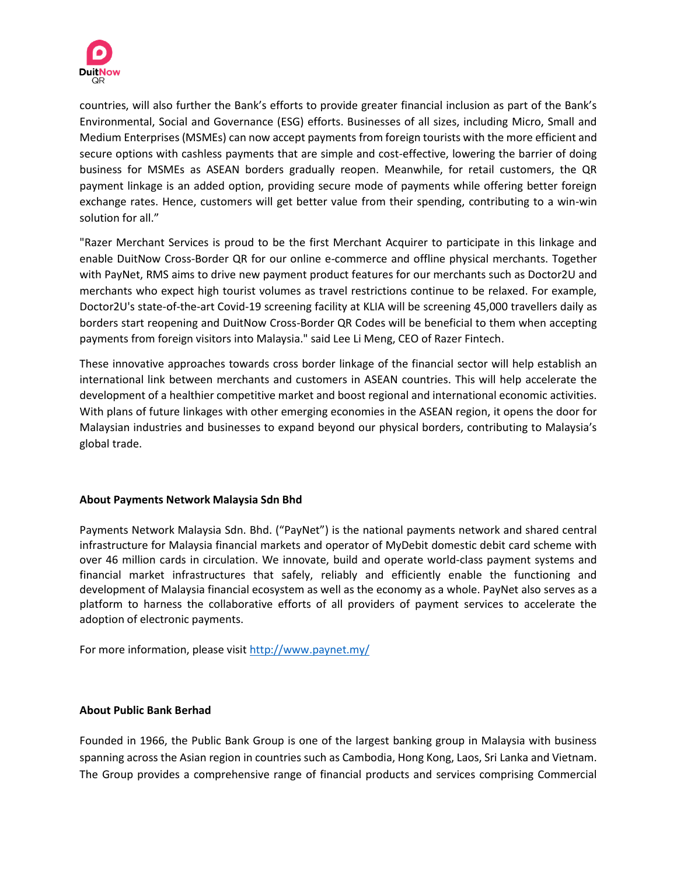

countries, will also further the Bank's efforts to provide greater financial inclusion as part of the Bank's Environmental, Social and Governance (ESG) efforts. Businesses of all sizes, including Micro, Small and Medium Enterprises (MSMEs) can now accept payments from foreign tourists with the more efficient and secure options with cashless payments that are simple and cost-effective, lowering the barrier of doing business for MSMEs as ASEAN borders gradually reopen. Meanwhile, for retail customers, the QR payment linkage is an added option, providing secure mode of payments while offering better foreign exchange rates. Hence, customers will get better value from their spending, contributing to a win-win solution for all."

"Razer Merchant Services is proud to be the first Merchant Acquirer to participate in this linkage and enable DuitNow Cross-Border QR for our online e-commerce and offline physical merchants. Together with PayNet, RMS aims to drive new payment product features for our merchants such as Doctor2U and merchants who expect high tourist volumes as travel restrictions continue to be relaxed. For example, Doctor2U's state-of-the-art Covid-19 screening facility at KLIA will be screening 45,000 travellers daily as borders start reopening and DuitNow Cross-Border QR Codes will be beneficial to them when accepting payments from foreign visitors into Malaysia." said Lee Li Meng, CEO of Razer Fintech.

These innovative approaches towards cross border linkage of the financial sector will help establish an international link between merchants and customers in ASEAN countries. This will help accelerate the development of a healthier competitive market and boost regional and international economic activities. With plans of future linkages with other emerging economies in the ASEAN region, it opens the door for Malaysian industries and businesses to expand beyond our physical borders, contributing to Malaysia's global trade.

# **About Payments Network Malaysia Sdn Bhd**

Payments Network Malaysia Sdn. Bhd. ("PayNet") is the national payments network and shared central infrastructure for Malaysia financial markets and operator of MyDebit domestic debit card scheme with over 46 million cards in circulation. We innovate, build and operate world-class payment systems and financial market infrastructures that safely, reliably and efficiently enable the functioning and development of Malaysia financial ecosystem as well as the economy as a whole. PayNet also serves as a platform to harness the collaborative efforts of all providers of payment services to accelerate the adoption of electronic payments.

For more information, please visi[t http://www.paynet.my/](http://www.paynet.my/)

### **About Public Bank Berhad**

Founded in 1966, the Public Bank Group is one of the largest banking group in Malaysia with business spanning across the Asian region in countries such as Cambodia, Hong Kong, Laos, Sri Lanka and Vietnam. The Group provides a comprehensive range of financial products and services comprising Commercial